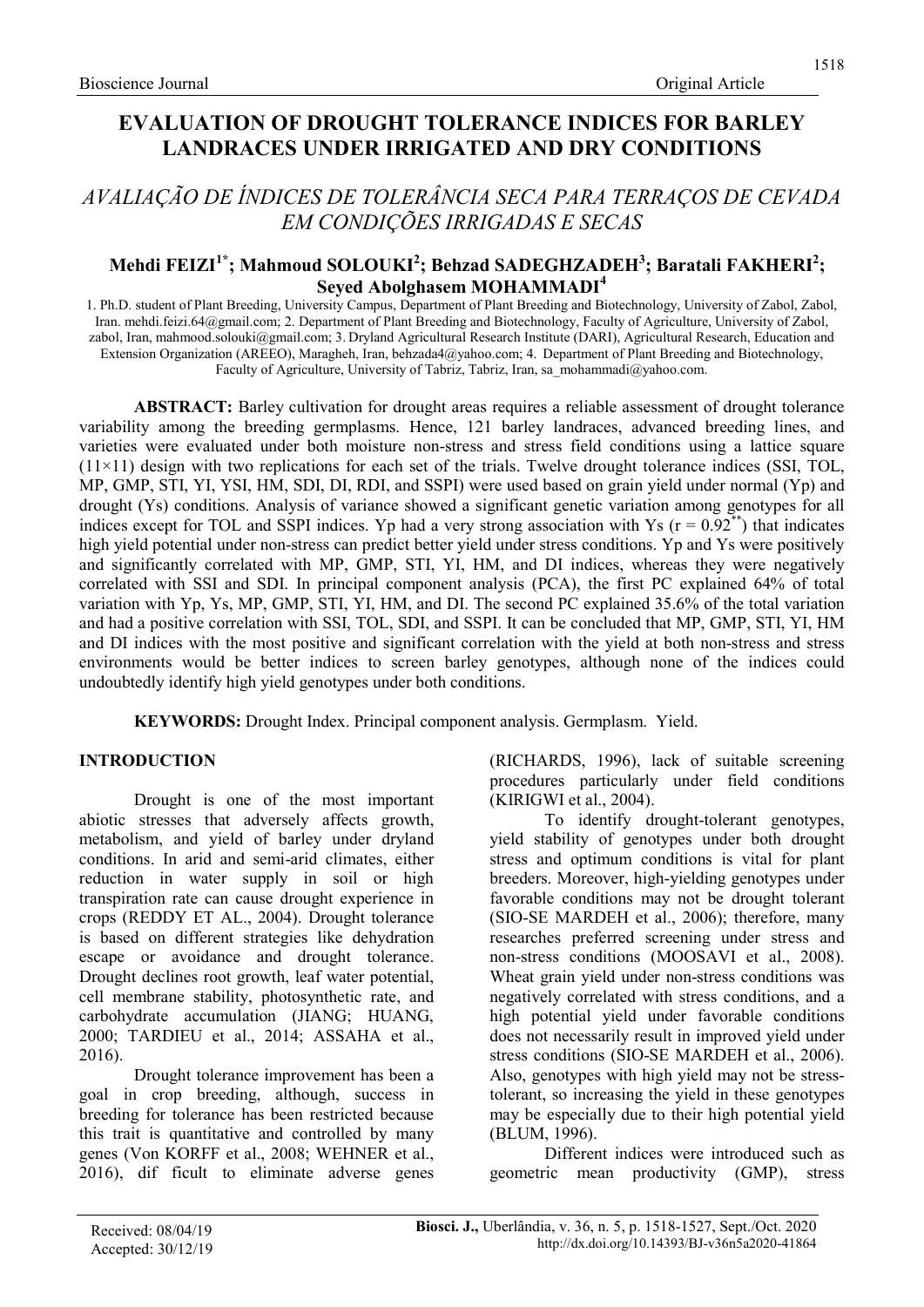# EVALUATION OF DROUGHT TOLERANCE INDICES FOR BARLEY LANDRACES UNDER IRRIGATED AND DRY CONDITIONS

# AVALIAÇÃO DE ÍNDICES DE TOLERÂNCIA SECA PARA TERRAÇOS DE CEVADA EM CONDIÇÕES IRRIGADAS E SECAS

# Mehdi FEIZI $^{1*}$ ; Mahmoud SOLOUKI $^{2}$ ; Behzad SADEGHZADEH $^{3}$ ; Baratali FAKHERI $^{2}$ ; Seyed Abolghasem MOHAMMADI<sup>4</sup>

1. Ph.D. student of Plant Breeding, University Campus, Department of Plant Breeding and Biotechnology, University of Zabol, Zabol, Iran. mehdi.feizi.64@gmail.com; 2. Department of Plant Breeding and Biotechnology, Faculty of Agriculture, University of Zabol, zabol, Iran, mahmood.solouki@gmail.com; 3. Dryland Agricultural Research Institute (DARI), Agricultural Research, Education and Extension Organization (AREEO), Maragheh, Iran, behzada4@yahoo.com; 4. Department of Plant Breeding and Biotechnology, Faculty of Agriculture, University of Tabriz, Tabriz, Iran, sa\_mohammadi@yahoo.com.

ABSTRACT: Barley cultivation for drought areas requires a reliable assessment of drought tolerance variability among the breeding germplasms. Hence, 121 barley landraces, advanced breeding lines, and varieties were evaluated under both moisture non-stress and stress field conditions using a lattice square  $(11\times11)$  design with two replications for each set of the trials. Twelve drought tolerance indices (SSI, TOL, MP, GMP, STI, YI, YSI, HM, SDI, DI, RDI, and SSPI) were used based on grain yield under normal (Yp) and drought (Ys) conditions. Analysis of variance showed a significant genetic variation among genotypes for all indices except for TOL and SSPI indices. Yp had a very strong association with Ys ( $r = 0.92^{**}$ ) that indicates high yield potential under non-stress can predict better yield under stress conditions. Yp and Ys were positively and significantly correlated with MP, GMP, STI, YI, HM, and DI indices, whereas they were negatively correlated with SSI and SDI. In principal component analysis (PCA), the first PC explained 64% of total variation with Yp, Ys, MP, GMP, STI, YI, HM, and DI. The second PC explained 35.6% of the total variation and had a positive correlation with SSI, TOL, SDI, and SSPI. It can be concluded that MP, GMP, STI, YI, HM and DI indices with the most positive and significant correlation with the yield at both non-stress and stress environments would be better indices to screen barley genotypes, although none of the indices could undoubtedly identify high yield genotypes under both conditions.

KEYWORDS: Drought Index. Principal component analysis. Germplasm. Yield.

## INTRODUCTION

Drought is one of the most important abiotic stresses that adversely affects growth, metabolism, and yield of barley under dryland conditions. In arid and semi-arid climates, either reduction in water supply in soil or high transpiration rate can cause drought experience in crops (REDDY ET AL., 2004). Drought tolerance is based on different strategies like dehydration escape or avoidance and drought tolerance. Drought declines root growth, leaf water potential, cell membrane stability, photosynthetic rate, and carbohydrate accumulation (JIANG; HUANG, 2000; TARDIEU et al., 2014; ASSAHA et al., 2016).

Drought tolerance improvement has been a goal in crop breeding, although, success in breeding for tolerance has been restricted because this trait is quantitative and controlled by many genes (Von KORFF et al., 2008; WEHNER et al., 2016), dif ficult to eliminate adverse genes

(RICHARDS, 1996), lack of suitable screening procedures particularly under field conditions (KIRIGWI et al., 2004).

To identify drought-tolerant genotypes, yield stability of genotypes under both drought stress and optimum conditions is vital for plant breeders. Moreover, high-yielding genotypes under favorable conditions may not be drought tolerant (SIO-SE MARDEH et al., 2006); therefore, many researches preferred screening under stress and non-stress conditions (MOOSAVI et al., 2008). Wheat grain yield under non-stress conditions was negatively correlated with stress conditions, and a high potential yield under favorable conditions does not necessarily result in improved yield under stress conditions (SIO-SE MARDEH et al., 2006). Also, genotypes with high yield may not be stresstolerant, so increasing the yield in these genotypes may be especially due to their high potential yield (BLUM, 1996).

Different indices were introduced such as geometric mean productivity (GMP), stress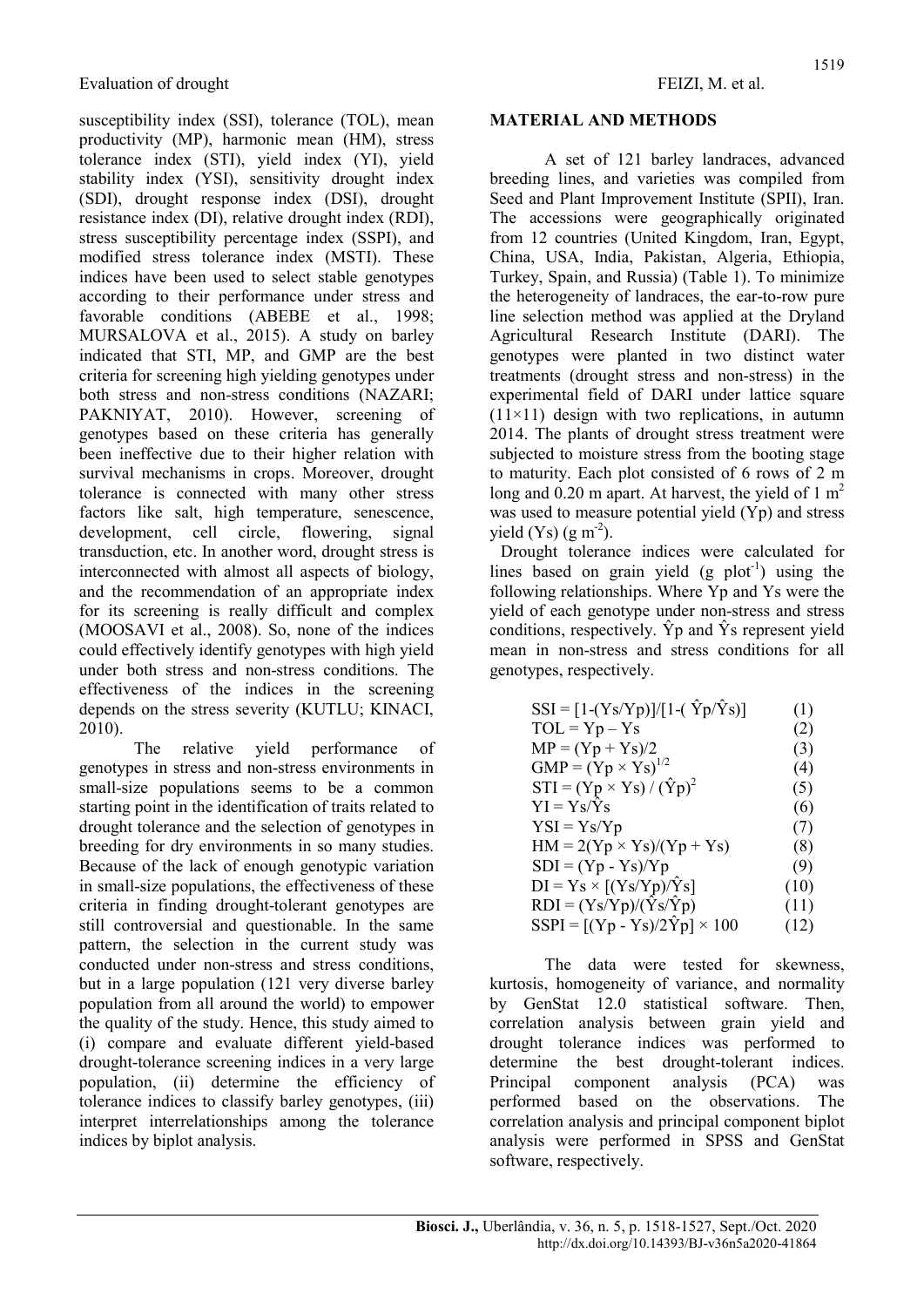susceptibility index (SSI), tolerance (TOL), mean productivity (MP), harmonic mean (HM), stress tolerance index (STI), yield index (YI), yield stability index (YSI), sensitivity drought index (SDI), drought response index (DSI), drought resistance index (DI), relative drought index (RDI), stress susceptibility percentage index (SSPI), and modified stress tolerance index (MSTI). These indices have been used to select stable genotypes according to their performance under stress and favorable conditions (ABEBE et al., 1998; MURSALOVA et al., 2015). A study on barley indicated that STI, MP, and GMP are the best criteria for screening high yielding genotypes under both stress and non-stress conditions (NAZARI; PAKNIYAT, 2010). However, screening of genotypes based on these criteria has generally been ineffective due to their higher relation with survival mechanisms in crops. Moreover, drought tolerance is connected with many other stress factors like salt, high temperature, senescence, development, cell circle, flowering, signal transduction, etc. In another word, drought stress is interconnected with almost all aspects of biology, and the recommendation of an appropriate index for its screening is really difficult and complex (MOOSAVI et al., 2008). So, none of the indices could effectively identify genotypes with high yield under both stress and non-stress conditions. The effectiveness of the indices in the screening depends on the stress severity (KUTLU; KINACI, 2010).

The relative yield performance of genotypes in stress and non-stress environments in small-size populations seems to be a common starting point in the identification of traits related to drought tolerance and the selection of genotypes in breeding for dry environments in so many studies. Because of the lack of enough genotypic variation in small-size populations, the effectiveness of these criteria in finding drought-tolerant genotypes are still controversial and questionable. In the same pattern, the selection in the current study was conducted under non-stress and stress conditions, but in a large population (121 very diverse barley population from all around the world) to empower the quality of the study. Hence, this study aimed to (i) compare and evaluate different yield-based drought-tolerance screening indices in a very large population, (ii) determine the efficiency of tolerance indices to classify barley genotypes, (iii) interpret interrelationships among the tolerance indices by biplot analysis.

#### MATERIAL AND METHODS

A set of 121 barley landraces, advanced breeding lines, and varieties was compiled from Seed and Plant Improvement Institute (SPII), Iran. The accessions were geographically originated from 12 countries (United Kingdom, Iran, Egypt, China, USA, India, Pakistan, Algeria, Ethiopia, Turkey, Spain, and Russia) (Table 1). To minimize the heterogeneity of landraces, the ear-to-row pure line selection method was applied at the Dryland Agricultural Research Institute (DARI). The genotypes were planted in two distinct water treatments (drought stress and non-stress) in the experimental field of DARI under lattice square  $(11\times11)$  design with two replications, in autumn 2014. The plants of drought stress treatment were subjected to moisture stress from the booting stage to maturity. Each plot consisted of 6 rows of 2 m long and 0.20 m apart. At harvest, the yield of  $1 \text{ m}^2$ was used to measure potential yield (Yp) and stress yield  $(Ys)$  (g m<sup>-2</sup>).

Drought tolerance indices were calculated for lines based on grain yield  $(g \text{ plot}^{-1})$  using the following relationships. Where Yp and Ys were the yield of each genotype under non-stress and stress conditions, respectively.  $\hat{Y}p$  and  $\hat{Y}s$  represent yield mean in non-stress and stress conditions for all genotypes, respectively.

| $SSI = [1-(Ys/Yp)]/[1-(\hat{Y}p/\hat{Y}s)]$ | (1)  |
|---------------------------------------------|------|
| $TOL = Yp - Ys$                             | (2)  |
| $MP = (Yp + Ys)/2$                          | (3)  |
| $GMP = (Yp \times Ys)^{1/2}$                | (4)  |
| $STI = (Yp \times Ys) / (\hat{Y}p)^2$       | (5)  |
| $YI = Ys/Ys$                                | (6)  |
| $YSI = Ys/Yp$                               | (7)  |
| $HM = 2(Yp \times Ys)/(Yp + Ys)$            | (8)  |
| $SDI = (Yp - Ys)/Yp$                        | (9)  |
| $DI = Ys \times [(Ys/Yp)/\hat{Y}s]$         | (10) |
| $RDI = (Ys/Yp)/(\hat{Y}s/\hat{Y}p)$         | (11) |
| $SSPI = [(Yp - Ys)/2\hat{Y}p] \times 100$   | (12) |

The data were tested for skewness, kurtosis, homogeneity of variance, and normality by GenStat 12.0 statistical software. Then, correlation analysis between grain yield and drought tolerance indices was performed to determine the best drought-tolerant indices. Principal component analysis (PCA) was performed based on the observations. The correlation analysis and principal component biplot analysis were performed in SPSS and GenStat software, respectively.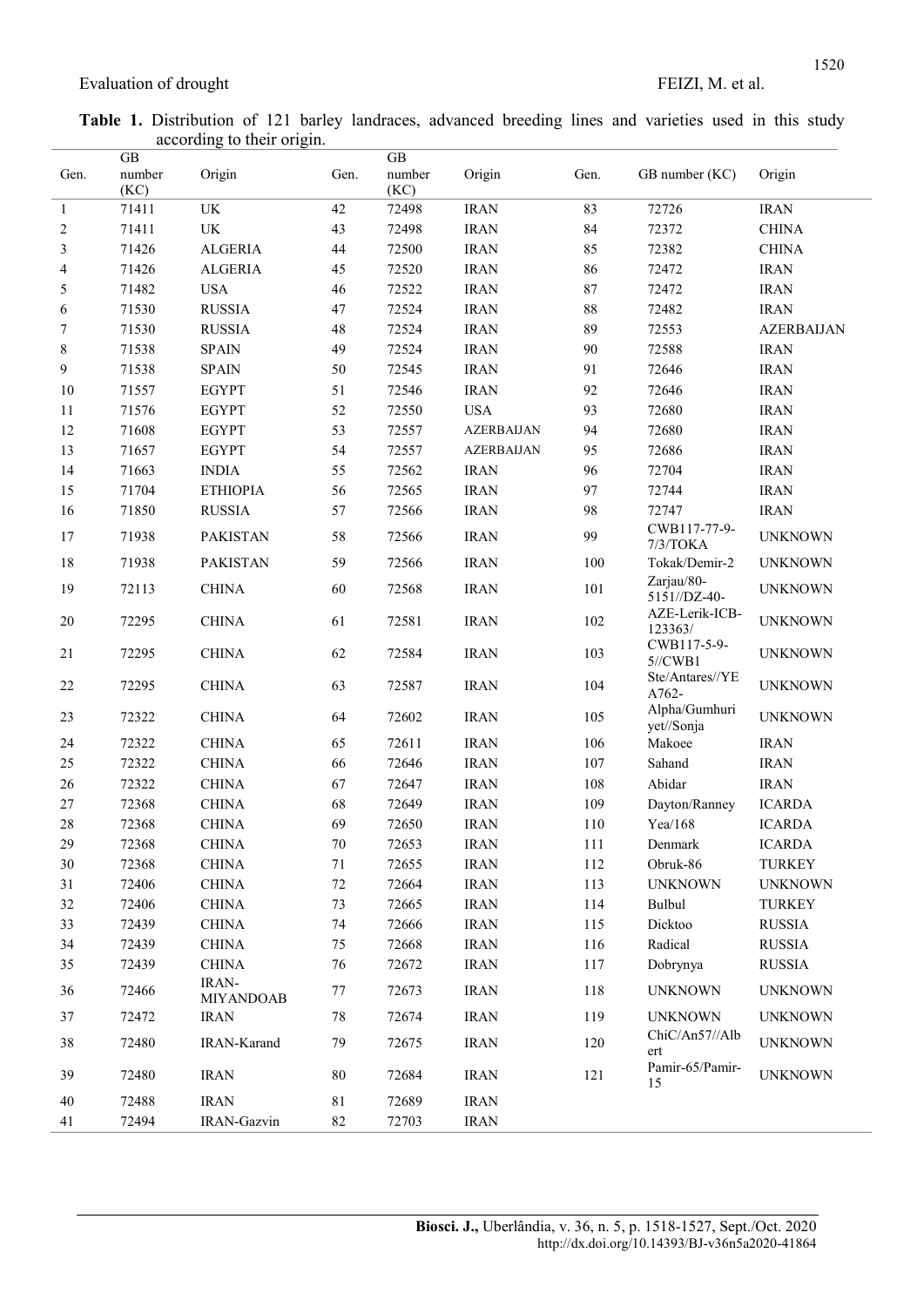Table 1. Distribution of 121 barley landraces, advanced breeding lines and varieties used in this study according to their origin.

| Gen.         | <b>GB</b><br>number<br>(KC) | Origin                    | Gen.   | GB<br>number<br>(KC) | Origin            | Gen.   | GB number (KC)              | Origin            |
|--------------|-----------------------------|---------------------------|--------|----------------------|-------------------|--------|-----------------------------|-------------------|
| $\mathbf{1}$ | 71411                       | UK                        | 42     | 72498                | <b>IRAN</b>       | 83     | 72726                       | <b>IRAN</b>       |
| 2            | 71411                       | UK                        | 43     | 72498                | <b>IRAN</b>       | 84     | 72372                       | <b>CHINA</b>      |
| 3            | 71426                       | <b>ALGERIA</b>            | 44     | 72500                | <b>IRAN</b>       | 85     | 72382                       | <b>CHINA</b>      |
| 4            | 71426                       | <b>ALGERIA</b>            | 45     | 72520                | <b>IRAN</b>       | 86     | 72472                       | <b>IRAN</b>       |
| 5            | 71482                       | <b>USA</b>                | 46     | 72522                | <b>IRAN</b>       | 87     | 72472                       | <b>IRAN</b>       |
| 6            | 71530                       | <b>RUSSIA</b>             | 47     | 72524                | <b>IRAN</b>       | $88\,$ | 72482                       | <b>IRAN</b>       |
| 7            | 71530                       | <b>RUSSIA</b>             | 48     | 72524                | <b>IRAN</b>       | 89     | 72553                       | <b>AZERBAIJAN</b> |
| $\,$ $\,$    | 71538                       | <b>SPAIN</b>              | 49     | 72524                | <b>IRAN</b>       | 90     | 72588                       | <b>IRAN</b>       |
| 9            | 71538                       | <b>SPAIN</b>              | 50     | 72545                | <b>IRAN</b>       | 91     | 72646                       | <b>IRAN</b>       |
| 10           | 71557                       | <b>EGYPT</b>              | 51     | 72546                | <b>IRAN</b>       | 92     | 72646                       | <b>IRAN</b>       |
| 11           | 71576                       | <b>EGYPT</b>              | 52     | 72550                | <b>USA</b>        | 93     | 72680                       | <b>IRAN</b>       |
| 12           | 71608                       | <b>EGYPT</b>              | 53     | 72557                | <b>AZERBAIJAN</b> | 94     | 72680                       | <b>IRAN</b>       |
| 13           | 71657                       | <b>EGYPT</b>              | 54     | 72557                | <b>AZERBAIJAN</b> | 95     | 72686                       | <b>IRAN</b>       |
| 14           | 71663                       | <b>INDIA</b>              | 55     | 72562                | <b>IRAN</b>       | 96     | 72704                       | <b>IRAN</b>       |
| 15           | 71704                       | ΕΤΗΙΟΡΙΑ                  | 56     | 72565                | <b>IRAN</b>       | 97     | 72744                       | <b>IRAN</b>       |
| 16           | 71850                       | <b>RUSSIA</b>             | 57     | 72566                | <b>IRAN</b>       | 98     | 72747                       | <b>IRAN</b>       |
| 17           | 71938                       | <b>PAKISTAN</b>           | 58     | 72566                | <b>IRAN</b>       | 99     | CWB117-77-9-<br>7/3/TOKA    | <b>UNKNOWN</b>    |
| 18           | 71938                       | <b>PAKISTAN</b>           | 59     | 72566                | <b>IRAN</b>       | 100    | Tokak/Demir-2               | <b>UNKNOWN</b>    |
| 19           | 72113                       | <b>CHINA</b>              | 60     | 72568                | <b>IRAN</b>       | 101    | Zarjau/80-<br>5151//DZ-40-  | <b>UNKNOWN</b>    |
| $20\,$       | 72295                       | <b>CHINA</b>              | 61     | 72581                | <b>IRAN</b>       | 102    | AZE-Lerik-ICB-<br>123363/   | <b>UNKNOWN</b>    |
| 21           | 72295                       | <b>CHINA</b>              | 62     | 72584                | <b>IRAN</b>       | 103    | CWB117-5-9-<br>$5$ //CWB1   | <b>UNKNOWN</b>    |
| $22\,$       | 72295                       | <b>CHINA</b>              | 63     | 72587                | <b>IRAN</b>       | 104    | Ste/Antares//YE<br>A762-    | <b>UNKNOWN</b>    |
| 23           | 72322                       | <b>CHINA</b>              | 64     | 72602                | <b>IRAN</b>       | 105    | Alpha/Gumhuri<br>yet//Sonja | <b>UNKNOWN</b>    |
| 24           | 72322                       | <b>CHINA</b>              | 65     | 72611                | <b>IRAN</b>       | 106    | Makoee                      | <b>IRAN</b>       |
| 25           | 72322                       | <b>CHINA</b>              | 66     | 72646                | <b>IRAN</b>       | 107    | Sahand                      | <b>IRAN</b>       |
| 26           | 72322                       | <b>CHINA</b>              | 67     | 72647                | <b>IRAN</b>       | 108    | Abidar                      | <b>IRAN</b>       |
| $27\,$       | 72368                       | <b>CHINA</b>              | 68     | 72649                | <b>IRAN</b>       | 109    | Dayton/Ranney               | <b>ICARDA</b>     |
| $28\,$       | 72368                       | <b>CHINA</b>              | 69     | 72650                | <b>IRAN</b>       | 110    | Yea/168                     | <b>ICARDA</b>     |
| 29           | 72368                       | <b>CHINA</b>              | 70     | 72653                | <b>IRAN</b>       | 111    | Denmark                     | <b>ICARDA</b>     |
| 30           | 72368                       | <b>CHINA</b>              | 71     | 72655                | <b>IRAN</b>       | 112    | Obruk-86                    | <b>TURKEY</b>     |
| 31           | 72406                       | <b>CHINA</b>              | $72\,$ | 72664                | <b>IRAN</b>       | 113    | <b>UNKNOWN</b>              | <b>UNKNOWN</b>    |
| 32           | 72406                       | <b>CHINA</b>              | 73     | 72665                | <b>IRAN</b>       | 114    | Bulbul                      | <b>TURKEY</b>     |
| 33           | 72439                       | <b>CHINA</b>              | 74     | 72666                | <b>IRAN</b>       | 115    | Dicktoo                     | <b>RUSSIA</b>     |
| 34           | 72439                       | <b>CHINA</b>              | 75     | 72668                | <b>IRAN</b>       | 116    | Radical                     | <b>RUSSIA</b>     |
| 35           | 72439                       | <b>CHINA</b>              | 76     | 72672                | <b>IRAN</b>       | 117    | Dobrynya                    | <b>RUSSIA</b>     |
| 36           | 72466                       | IRAN-<br><b>MIYANDOAB</b> | 77     | 72673                | <b>IRAN</b>       | 118    | <b>UNKNOWN</b>              | <b>UNKNOWN</b>    |
| 37           | 72472                       | <b>IRAN</b>               | 78     | 72674                | <b>IRAN</b>       | 119    | <b>UNKNOWN</b>              | <b>UNKNOWN</b>    |
| 38           | 72480                       | IRAN-Karand               | 79     | 72675                | <b>IRAN</b>       | 120    | ChiC/An57//Alb<br>ert       | <b>UNKNOWN</b>    |
| 39           | 72480                       | <b>IRAN</b>               | 80     | 72684                | <b>IRAN</b>       | 121    | Pamir-65/Pamir-<br>15       | <b>UNKNOWN</b>    |
| $40\,$       | 72488                       | <b>IRAN</b>               | 81     | 72689                | <b>IRAN</b>       |        |                             |                   |
| 41           | 72494                       | IRAN-Gazvin               | 82     | 72703                | <b>IRAN</b>       |        |                             |                   |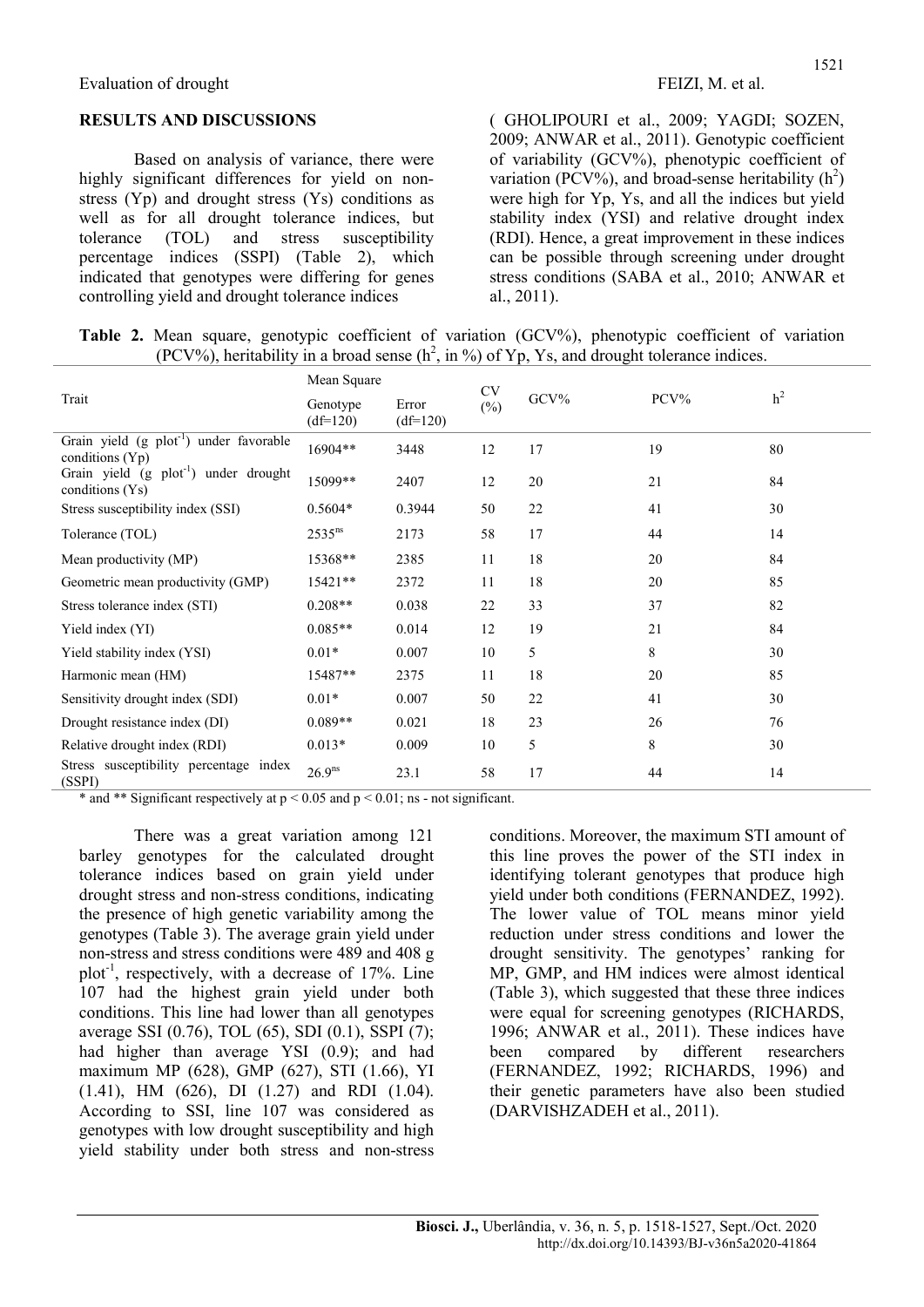#### RESULTS AND DISCUSSIONS

Based on analysis of variance, there were highly significant differences for yield on nonstress (Yp) and drought stress (Ys) conditions as well as for all drought tolerance indices, but tolerance (TOL) and stress susceptibility percentage indices (SSPI) (Table 2), which indicated that genotypes were differing for genes controlling yield and drought tolerance indices

( GHOLIPOURI et al., 2009; YAGDI; SOZEN, 2009; ANWAR et al., 2011). Genotypic coefficient of variability (GCV%), phenotypic coefficient of variation (PCV%), and broad-sense heritability  $(h^2)$ were high for Yp, Ys, and all the indices but yield stability index (YSI) and relative drought index (RDI). Hence, a great improvement in these indices can be possible through screening under drought stress conditions (SABA et al., 2010; ANWAR et al., 2011).

Table 2. Mean square, genotypic coefficient of variation (GCV%), phenotypic coefficient of variation  $(PCV%)$ , heritability in a broad sense  $(h^2, in \%)$  of Yp, Ys, and drought tolerance indices.

|                                                                          | Mean Square            |                     | <b>CV</b> |         |      |                |  |
|--------------------------------------------------------------------------|------------------------|---------------------|-----------|---------|------|----------------|--|
| Trait                                                                    | Genotype<br>$(df=120)$ | Error<br>$(df=120)$ | $(\%)$    | $GCV\%$ | PCV% | h <sup>2</sup> |  |
| Grain yield (g plot <sup>-1</sup> ) under favorable<br>conditions $(Yp)$ | 16904**                | 3448                | 12        | 17      | 19   | 80             |  |
| Grain yield (g plot <sup>-1</sup> ) under drought<br>conditions (Ys)     | 15099**                | 2407                | 12        | 20      | 21   | 84             |  |
| Stress susceptibility index (SSI)                                        | $0.5604*$              | 0.3944              | 50        | 22      | 41   | 30             |  |
| Tolerance (TOL)                                                          | $2535^{ns}$            | 2173                | 58        | 17      | 44   | 14             |  |
| Mean productivity (MP)                                                   | 15368**                | 2385                | 11        | 18      | 20   | 84             |  |
| Geometric mean productivity (GMP)                                        | $15421**$              | 2372                | 11        | 18      | 20   | 85             |  |
| Stress tolerance index (STI)                                             | $0.208**$              | 0.038               | 22        | 33      | 37   | 82             |  |
| Yield index (YI)                                                         | $0.085**$              | 0.014               | 12        | 19      | 21   | 84             |  |
| Yield stability index (YSI)                                              | $0.01*$                | 0.007               | 10        | 5       | 8    | 30             |  |
| Harmonic mean (HM)                                                       | 15487**                | 2375                | 11        | 18      | 20   | 85             |  |
| Sensitivity drought index (SDI)                                          | $0.01*$                | 0.007               | 50        | 22      | 41   | 30             |  |
| Drought resistance index (DI)                                            | $0.089**$              | 0.021               | 18        | 23      | 26   | 76             |  |
| Relative drought index (RDI)                                             | $0.013*$               | 0.009               | 10        | 5       | 8    | 30             |  |
| Stress susceptibility percentage index<br>(SSPI)                         | 26.9 <sup>ns</sup>     | 23.1                | 58        | 17      | 44   | 14             |  |

\* and \*\* Significant respectively at  $p \le 0.05$  and  $p \le 0.01$ ; ns - not significant.

There was a great variation among 121 barley genotypes for the calculated drought tolerance indices based on grain yield under drought stress and non-stress conditions, indicating the presence of high genetic variability among the genotypes (Table 3). The average grain yield under non-stress and stress conditions were 489 and 408 g plot<sup>-1</sup>, respectively, with a decrease of  $17\%$ . Line 107 had the highest grain yield under both conditions. This line had lower than all genotypes average SSI (0.76), TOL (65), SDI (0.1), SSPI (7); had higher than average YSI (0.9); and had maximum MP (628), GMP (627), STI (1.66), YI (1.41), HM (626), DI (1.27) and RDI (1.04). According to SSI, line 107 was considered as genotypes with low drought susceptibility and high yield stability under both stress and non-stress conditions. Moreover, the maximum STI amount of this line proves the power of the STI index in identifying tolerant genotypes that produce high yield under both conditions (FERNANDEZ, 1992). The lower value of TOL means minor yield reduction under stress conditions and lower the drought sensitivity. The genotypes' ranking for MP, GMP, and HM indices were almost identical (Table 3), which suggested that these three indices were equal for screening genotypes (RICHARDS, 1996; ANWAR et al., 2011). These indices have been compared by different researchers (FERNANDEZ, 1992; RICHARDS, 1996) and their genetic parameters have also been studied (DARVISHZADEH et al., 2011).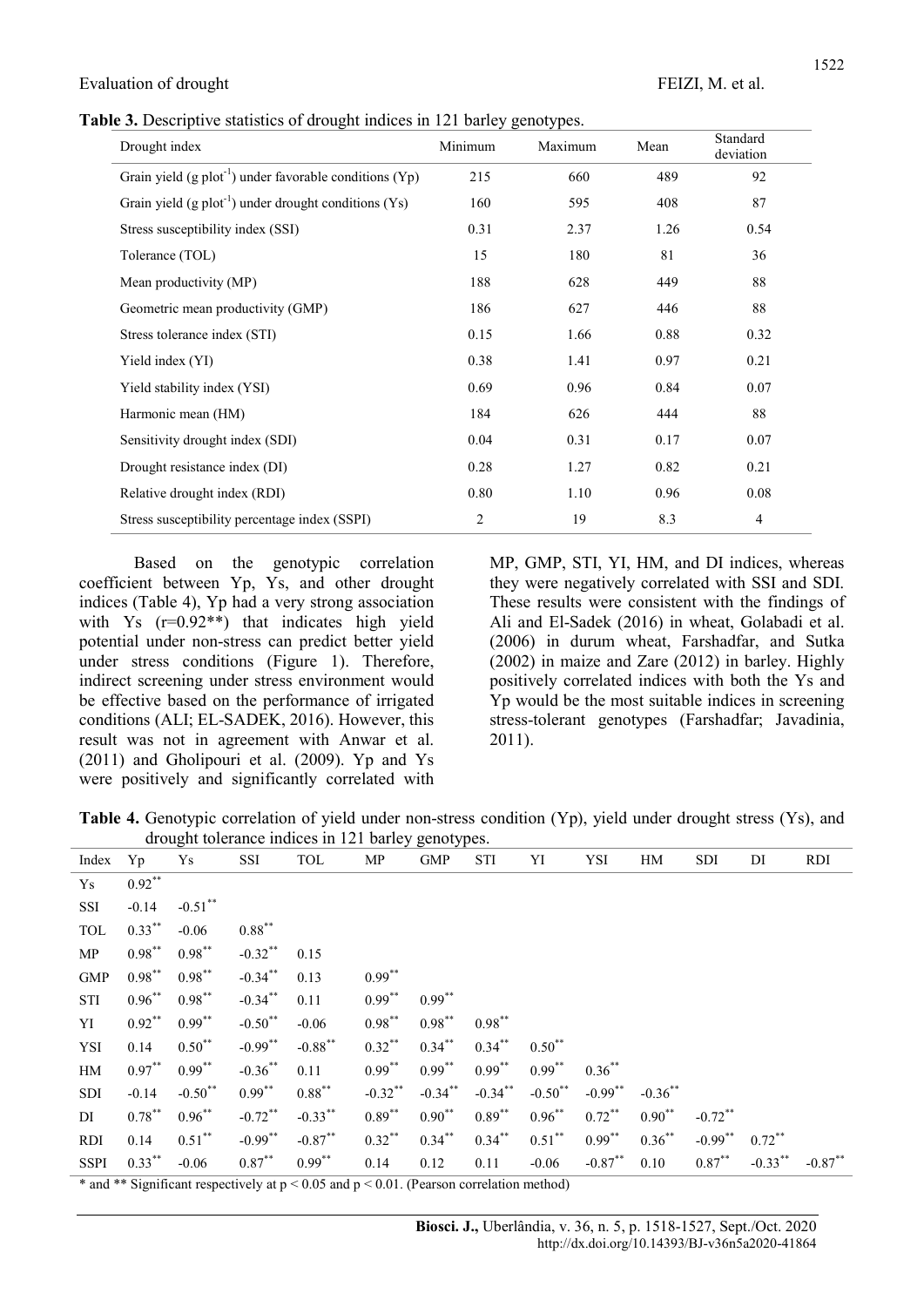Table 3. Descriptive statistics of drought indices in 121 barley genotypes.

| Drought index                                                         | Minimum        | Maximum | Mean | Standard<br>deviation |
|-----------------------------------------------------------------------|----------------|---------|------|-----------------------|
| Grain yield $(g \text{ plot}^{-1})$ under favorable conditions $(Yp)$ | 215            | 660     | 489  | 92                    |
| Grain yield $(g \text{ plot}^{-1})$ under drought conditions $(Ys)$   | 160            | 595     | 408  | 87                    |
| Stress susceptibility index (SSI)                                     | 0.31           | 2.37    | 1.26 | 0.54                  |
| Tolerance (TOL)                                                       | 15             | 180     | 81   | 36                    |
| Mean productivity (MP)                                                | 188            | 628     | 449  | 88                    |
| Geometric mean productivity (GMP)                                     | 186            | 627     | 446  | 88                    |
| Stress tolerance index (STI)                                          | 0.15           | 1.66    | 0.88 | 0.32                  |
| Yield index (YI)                                                      | 0.38           | 1.41    | 0.97 | 0.21                  |
| Yield stability index (YSI)                                           | 0.69           | 0.96    | 0.84 | 0.07                  |
| Harmonic mean (HM)                                                    | 184            | 626     | 444  | 88                    |
| Sensitivity drought index (SDI)                                       | 0.04           | 0.31    | 0.17 | 0.07                  |
| Drought resistance index (DI)                                         | 0.28           | 1.27    | 0.82 | 0.21                  |
| Relative drought index (RDI)                                          | 0.80           | 1.10    | 0.96 | 0.08                  |
| Stress susceptibility percentage index (SSPI)                         | $\overline{2}$ | 19      | 8.3  | $\overline{4}$        |

Based on the genotypic correlation coefficient between Yp, Ys, and other drought indices (Table 4), Yp had a very strong association with  $Y_s$  ( $r=0.92**$ ) that indicates high yield potential under non-stress can predict better yield under stress conditions (Figure 1). Therefore, indirect screening under stress environment would be effective based on the performance of irrigated conditions (ALI; EL-SADEK, 2016). However, this result was not in agreement with Anwar et al. (2011) and Gholipouri et al. (2009). Yp and Ys were positively and significantly correlated with

MP, GMP, STI, YI, HM, and DI indices, whereas they were negatively correlated with SSI and SDI. These results were consistent with the findings of Ali and El-Sadek (2016) in wheat, Golabadi et al. (2006) in durum wheat, Farshadfar, and Sutka (2002) in maize and Zare (2012) in barley. Highly positively correlated indices with both the Ys and Yp would be the most suitable indices in screening stress-tolerant genotypes (Farshadfar; Javadinia, 2011).

Table 4. Genotypic correlation of yield under non-stress condition (Yp), yield under drought stress (Ys), and drought tolerance indices in 121 barley genotypes.

| Index       | Yp                                                                            | Ys         | SSI        | TOL                  | MP                            | ${\rm GMP}$ | STI        | YI                        | YSI        | HM         | SDI        | DI         | <b>RDI</b> |
|-------------|-------------------------------------------------------------------------------|------------|------------|----------------------|-------------------------------|-------------|------------|---------------------------|------------|------------|------------|------------|------------|
| Ys          | $0.92***$                                                                     |            |            |                      |                               |             |            |                           |            |            |            |            |            |
| SSI         | $-0.14$                                                                       | $-0.51$ ** |            |                      |                               |             |            |                           |            |            |            |            |            |
| TOL         | $0.33***$                                                                     | $-0.06$    | $0.88***$  |                      |                               |             |            |                           |            |            |            |            |            |
| MP          | $0.98***$                                                                     | $0.98***$  | $-0.32$ ** | 0.15                 |                               |             |            |                           |            |            |            |            |            |
| <b>GMP</b>  | $0.98***$                                                                     | $0.98***$  | $-0.34***$ | 0.13                 | $0.99***$                     |             |            |                           |            |            |            |            |            |
| STI         | $0.96***$                                                                     | $0.98***$  | $-0.34***$ | 0.11                 | $0.99***$                     | $0.99***$   |            |                           |            |            |            |            |            |
| YI          | $0.92***$                                                                     | $0.99***$  | $-0.50$ ** | $-0.06$              | $0.98***$                     | $0.98***$   | $0.98***$  |                           |            |            |            |            |            |
| YSI         | 0.14                                                                          | $0.50***$  | $-0.99***$ | $-0.88$ **           | $0.32***$                     | $0.34***$   | $0.34***$  | $0.50***$                 |            |            |            |            |            |
| HM          | $0.97***$                                                                     | $0.99***$  | $-0.36$ ** | 0.11                 | $0.99***$                     | $0.99***$   | $0.99***$  | $0.99***$                 | $0.36***$  |            |            |            |            |
| SDI         | $-0.14$                                                                       | $-0.50$ ** | $0.99***$  | $0.88***$            | $-0.32$ **                    | $-0.34***$  | $-0.34$ ** | $-0.50$ **                | $-0.99***$ | $-0.36$ ** |            |            |            |
| DI          | $0.78***$                                                                     | $0.96***$  | $-0.72$ ** | $-0.33***$           | $0.89***$                     | $0.90***$   | $0.89***$  | $0.96***$                 | $0.72***$  | $0.90***$  | $-0.72$ ** |            |            |
| <b>RDI</b>  | 0.14                                                                          | $0.51***$  | $-0.99***$ | $-0.87***$           | $0.32***$                     | $0.34***$   | $0.34***$  | $0.51***$                 | $0.99***$  | $0.36***$  | $-0.99***$ | $0.72$ **  |            |
| <b>SSPI</b> | $0.33***$                                                                     | $-0.06$    | $0.87***$  | $0.99***$            | 0.14                          | 0.12        | 0.11       | $-0.06$                   | $-0.87***$ | 0.10       | $0.87***$  | $-0.33$ ** | $-0.87**$  |
|             | $\mathbf{a} = \mathbf{a} + \mathbf{a} + \mathbf{a} + \mathbf{a} + \mathbf{a}$ |            | $-1$       | $\sim$ $\sim$ $\sim$ | $\therefore$ 0.0.1 $\sqrt{n}$ |             | $\sim$     | $\mathbf{1}$ $\mathbf{1}$ |            |            |            |            |            |

\* and \*\* Significant respectively at  $p < 0.05$  and  $p < 0.01$ . (Pearson correlation method)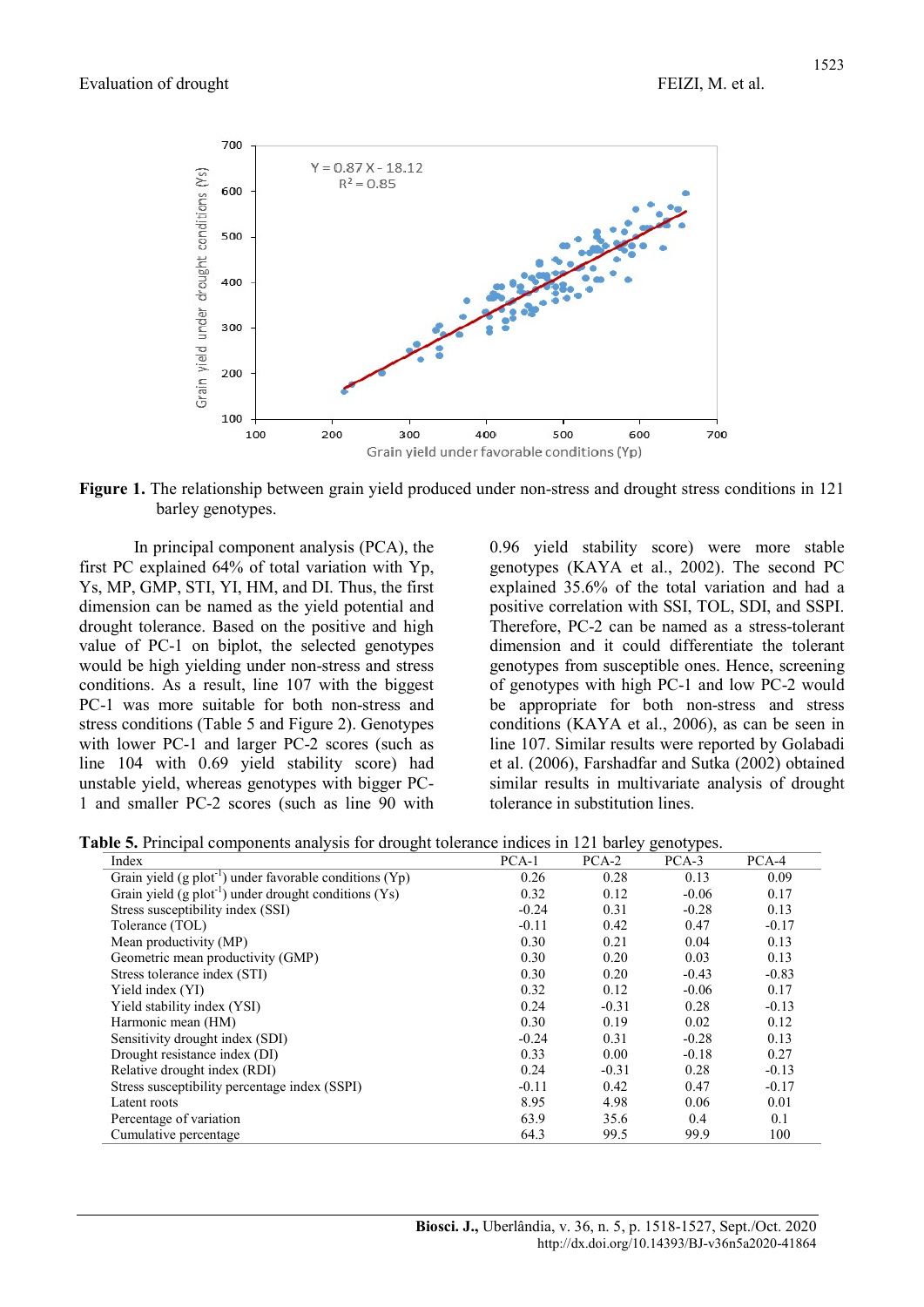

Figure 1. The relationship between grain yield produced under non-stress and drought stress conditions in 121 barley genotypes.

In principal component analysis (PCA), the first PC explained 64% of total variation with Yp, Ys, MP, GMP, STI, YI, HM, and DI. Thus, the first dimension can be named as the yield potential and drought tolerance. Based on the positive and high value of PC-1 on biplot, the selected genotypes would be high yielding under non-stress and stress conditions. As a result, line 107 with the biggest PC-1 was more suitable for both non-stress and stress conditions (Table 5 and Figure 2). Genotypes with lower PC-1 and larger PC-2 scores (such as line 104 with 0.69 yield stability score) had unstable yield, whereas genotypes with bigger PC-1 and smaller PC-2 scores (such as line 90 with

0.96 yield stability score) were more stable genotypes (KAYA et al., 2002). The second PC explained 35.6% of the total variation and had a positive correlation with SSI, TOL, SDI, and SSPI. Therefore, PC-2 can be named as a stress-tolerant dimension and it could differentiate the tolerant genotypes from susceptible ones. Hence, screening of genotypes with high PC-1 and low PC-2 would be appropriate for both non-stress and stress conditions (KAYA et al., 2006), as can be seen in line 107. Similar results were reported by Golabadi et al. (2006), Farshadfar and Sutka (2002) obtained similar results in multivariate analysis of drought tolerance in substitution lines.

Table 5. Principal components analysis for drought tolerance indices in 121 barley genotypes.

| Index                                                                 | $PCA-1$ | $PCA-2$ | $PCA-3$ | $PCA-4$ |
|-----------------------------------------------------------------------|---------|---------|---------|---------|
| Grain yield $(g \text{ plot}^{-1})$ under favorable conditions $(Yp)$ | 0.26    | 0.28    | 0.13    | 0.09    |
| Grain yield $(g \text{ plot}^{-1})$ under drought conditions $(Ys)$   | 0.32    | 0.12    | $-0.06$ | 0.17    |
| Stress susceptibility index (SSI)                                     | $-0.24$ | 0.31    | $-0.28$ | 0.13    |
| Tolerance (TOL)                                                       | $-0.11$ | 0.42    | 0.47    | $-0.17$ |
| Mean productivity (MP)                                                | 0.30    | 0.21    | 0.04    | 0.13    |
| Geometric mean productivity (GMP)                                     | 0.30    | 0.20    | 0.03    | 0.13    |
| Stress tolerance index (STI)                                          | 0.30    | 0.20    | $-0.43$ | $-0.83$ |
| Yield index (YI)                                                      | 0.32    | 0.12    | $-0.06$ | 0.17    |
| Yield stability index (YSI)                                           | 0.24    | $-0.31$ | 0.28    | $-0.13$ |
| Harmonic mean (HM)                                                    | 0.30    | 0.19    | 0.02    | 0.12    |
| Sensitivity drought index (SDI)                                       | $-0.24$ | 0.31    | $-0.28$ | 0.13    |
| Drought resistance index (DI)                                         | 0.33    | 0.00    | $-0.18$ | 0.27    |
| Relative drought index (RDI)                                          | 0.24    | $-0.31$ | 0.28    | $-0.13$ |
| Stress susceptibility percentage index (SSPI)                         | $-0.11$ | 0.42    | 0.47    | $-0.17$ |
| Latent roots                                                          | 8.95    | 4.98    | 0.06    | 0.01    |
| Percentage of variation                                               | 63.9    | 35.6    | 0.4     | 0.1     |
| Cumulative percentage                                                 | 64.3    | 99.5    | 99.9    | 100     |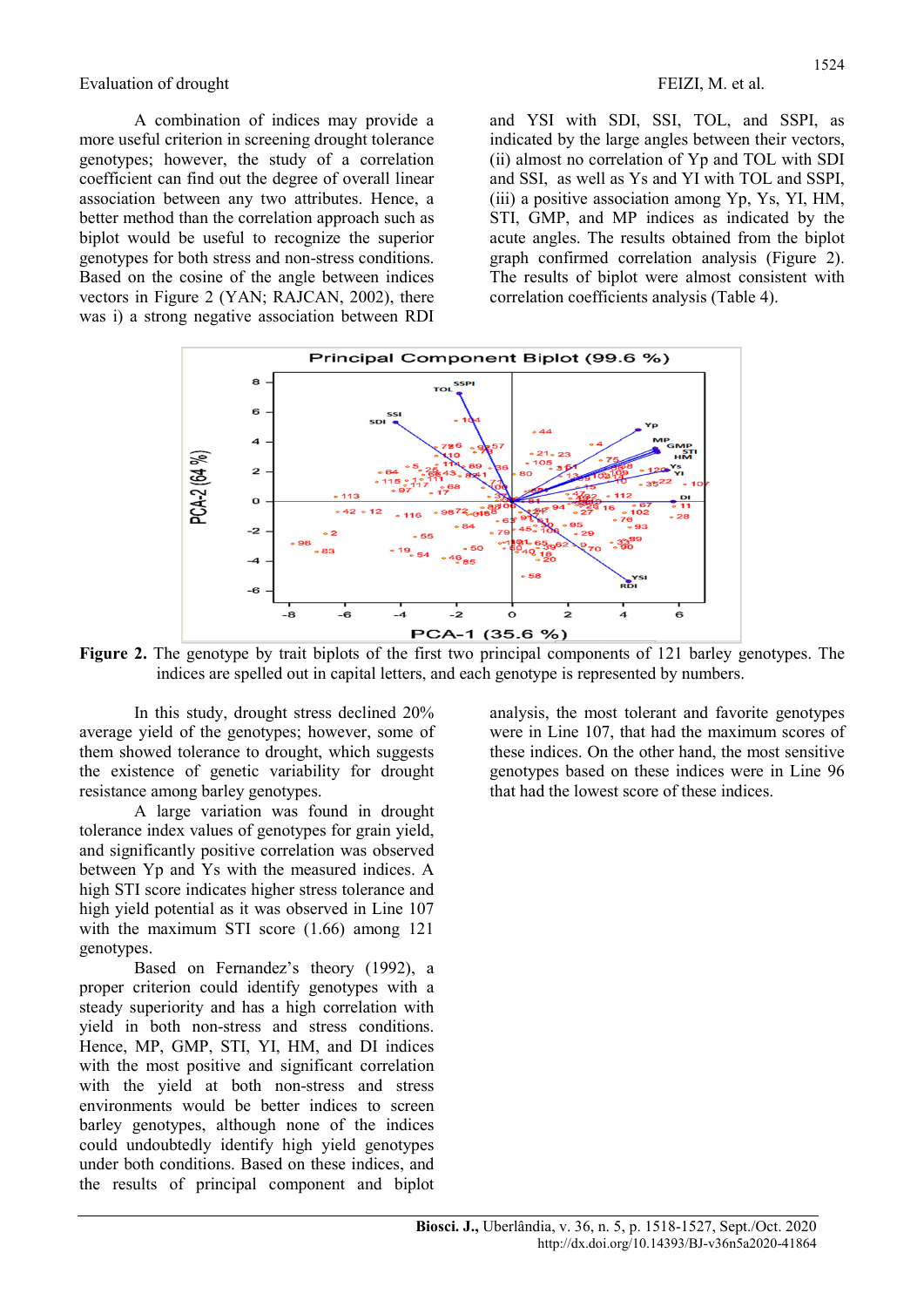Evaluation of drought FEIZI, M. et al.

A combination of indices may provide a more useful criterion in screening drought tolerance genotypes; however, the study of a correlation coefficient can find out the degree of overall linear association between any two attributes. Hence, a better method than the correlation approach such as biplot would be useful to recognize the superior genotypes for both stress and non-stress conditions. Based on the cosine of the angle between indices vectors in Figure 2 (YAN; RAJCAN, 2002), there was i) a strong negative association between RDI

and YSI with SDI, SSI, TOL, and SSPI, as indicated by the large angles between their vectors, (ii) almost no correlation of Yp and TOL with SDI and SSI, as well as Ys and YI with TOL and SSPI, (iii) a positive association among Yp, Ys, YI, HM, STI, GMP, and MP indices as indicated by the acute angles. The results obtained from the biplot graph confirmed correlation analysis (Figure 2). The results of biplot were almost consistent with correlation coefficients analysis (Table 4).



Figure 2. The genotype by trait biplots of the first two principal components of 121 barley genotypes. The indices are spelled out in capital letters, and each genotype is represented by numbers.

In this study, drought stress declined 20% average yield of the genotypes; however, some of them showed tolerance to drought, which suggests the existence of genetic variability for drought resistance among barley genotypes.

A large variation was found in drought tolerance index values of genotypes for grain yield, and significantly positive correlation was observed between Yp and Ys with the measured indices. A high STI score indicates higher stress tolerance and high yield potential as it was observed in Line 107 with the maximum STI score (1.66) among 121 genotypes.

Based on Fernandez's theory (1992), a proper criterion could identify genotypes with a steady superiority and has a high correlation with yield in both non-stress and stress conditions. Hence, MP, GMP, STI, YI, HM, and DI indices with the most positive and significant correlation with the yield at both non-stress and stress environments would be better indices to screen barley genotypes, although none of the indices could undoubtedly identify high yield genotypes under both conditions. Based on these indices, and the results of principal component and biplot

analysis, the most tolerant and favorite genotypes were in Line 107, that had the maximum scores of these indices. On the other hand, the most sensitive genotypes based on these indices were in Line 96 that had the lowest score of these indices.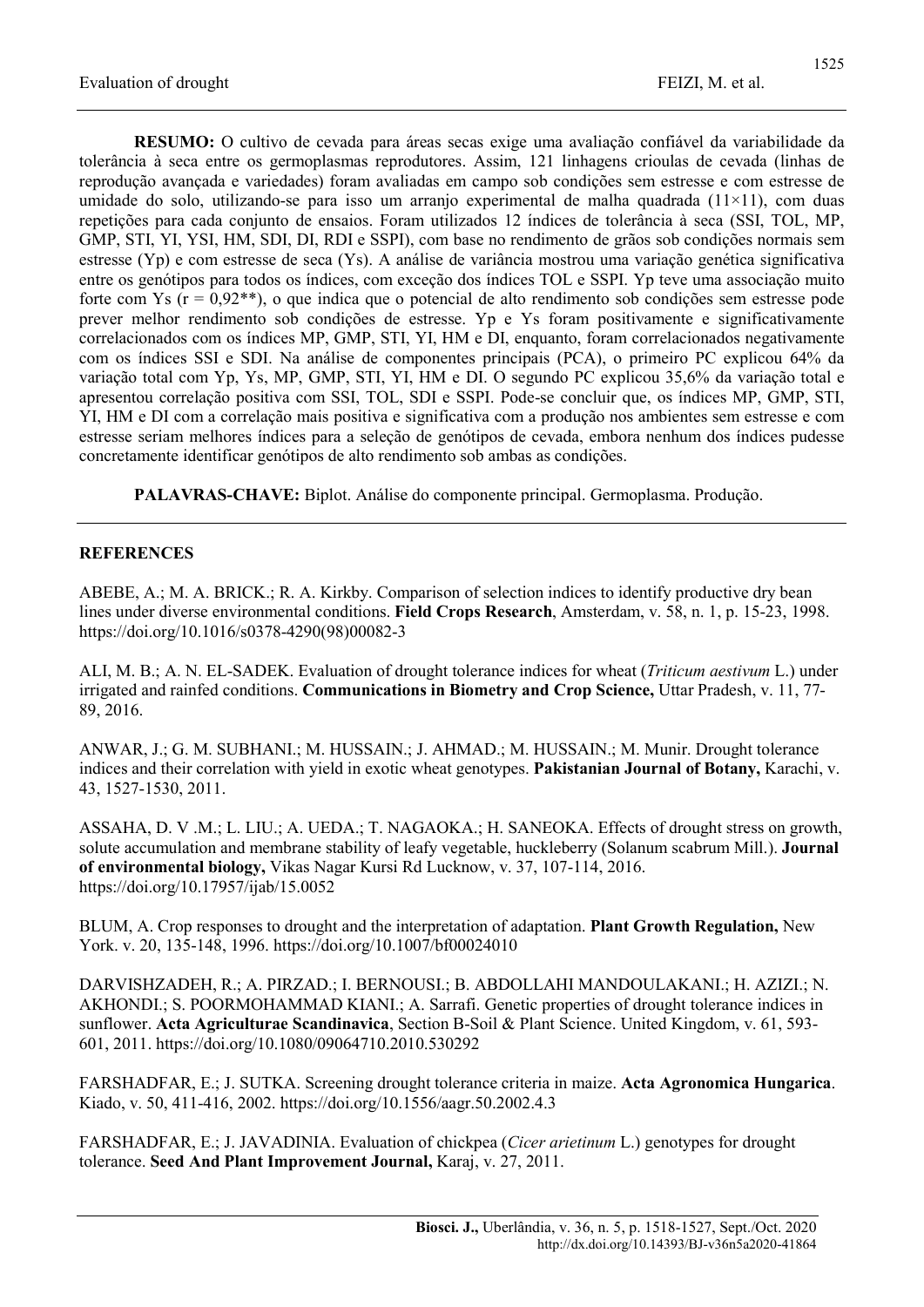RESUMO: O cultivo de cevada para áreas secas exige uma avaliação confiável da variabilidade da tolerância à seca entre os germoplasmas reprodutores. Assim, 121 linhagens crioulas de cevada (linhas de reprodução avançada e variedades) foram avaliadas em campo sob condições sem estresse e com estresse de umidade do solo, utilizando-se para isso um arranjo experimental de malha quadrada  $(11\times11)$ , com duas repetições para cada conjunto de ensaios. Foram utilizados 12 índices de tolerância à seca (SSI, TOL, MP, GMP, STI, YI, YSI, HM, SDI, DI, RDI e SSPI), com base no rendimento de grãos sob condições normais sem estresse (Yp) e com estresse de seca (Ys). A análise de variância mostrou uma variação genética significativa entre os genótipos para todos os índices, com exceção dos índices TOL e SSPI. Yp teve uma associação muito forte com Ys  $(r = 0.92^{**})$ , o que indica que o potencial de alto rendimento sob condições sem estresse pode prever melhor rendimento sob condições de estresse. Yp e Ys foram positivamente e significativamente correlacionados com os índices MP, GMP, STI, YI, HM e DI, enquanto, foram correlacionados negativamente com os índices SSI e SDI. Na análise de componentes principais (PCA), o primeiro PC explicou 64% da variação total com Yp, Ys, MP, GMP, STI, YI, HM e DI. O segundo PC explicou 35,6% da variação total e apresentou correlação positiva com SSI, TOL, SDI e SSPI. Pode-se concluir que, os índices MP, GMP, STI, YI, HM e DI com a correlação mais positiva e significativa com a produção nos ambientes sem estresse e com estresse seriam melhores índices para a seleção de genótipos de cevada, embora nenhum dos índices pudesse concretamente identificar genótipos de alto rendimento sob ambas as condições.

PALAVRAS-CHAVE: Biplot. Análise do componente principal. Germoplasma. Produção.

## **REFERENCES**

ABEBE, A.; M. A. BRICK.; R. A. Kirkby. Comparison of selection indices to identify productive dry bean lines under diverse environmental conditions. Field Crops Research, Amsterdam, v. 58, n. 1, p. 15-23, 1998. https://doi.org/10.1016/s0378-4290(98)00082-3

ALI, M. B.; A. N. EL-SADEK. Evaluation of drought tolerance indices for wheat (*Triticum aestivum* L.) under irrigated and rainfed conditions. Communications in Biometry and Crop Science, Uttar Pradesh, v. 11, 77- 89, 2016.

ANWAR, J.; G. M. SUBHANI.; M. HUSSAIN.; J. AHMAD.; M. HUSSAIN.; M. Munir. Drought tolerance indices and their correlation with yield in exotic wheat genotypes. Pakistanian Journal of Botany, Karachi, v. 43, 1527-1530, 2011.

ASSAHA, D. V .M.; L. LIU.; A. UEDA.; T. NAGAOKA.; H. SANEOKA. Effects of drought stress on growth, solute accumulation and membrane stability of leafy vegetable, huckleberry (Solanum scabrum Mill.). Journal of environmental biology, Vikas Nagar Kursi Rd Lucknow, v. 37, 107-114, 2016. https://doi.org/10.17957/ijab/15.0052

BLUM, A. Crop responses to drought and the interpretation of adaptation. Plant Growth Regulation, New York. v. 20, 135-148, 1996. https://doi.org/10.1007/bf00024010

DARVISHZADEH, R.; A. PIRZAD.; I. BERNOUSI.; B. ABDOLLAHI MANDOULAKANI.; H. AZIZI.; N. AKHONDI.; S. POORMOHAMMAD KIANI.; A. Sarrafi. Genetic properties of drought tolerance indices in sunflower. Acta Agriculturae Scandinavica, Section B-Soil & Plant Science. United Kingdom, v. 61, 593- 601, 2011. https://doi.org/10.1080/09064710.2010.530292

FARSHADFAR, E.; J. SUTKA. Screening drought tolerance criteria in maize. Acta Agronomica Hungarica. Kiado, v. 50, 411-416, 2002. https://doi.org/10.1556/aagr.50.2002.4.3

FARSHADFAR, E.; J. JAVADINIA. Evaluation of chickpea (Cicer arietinum L.) genotypes for drought tolerance. Seed And Plant Improvement Journal, Karaj, v. 27, 2011.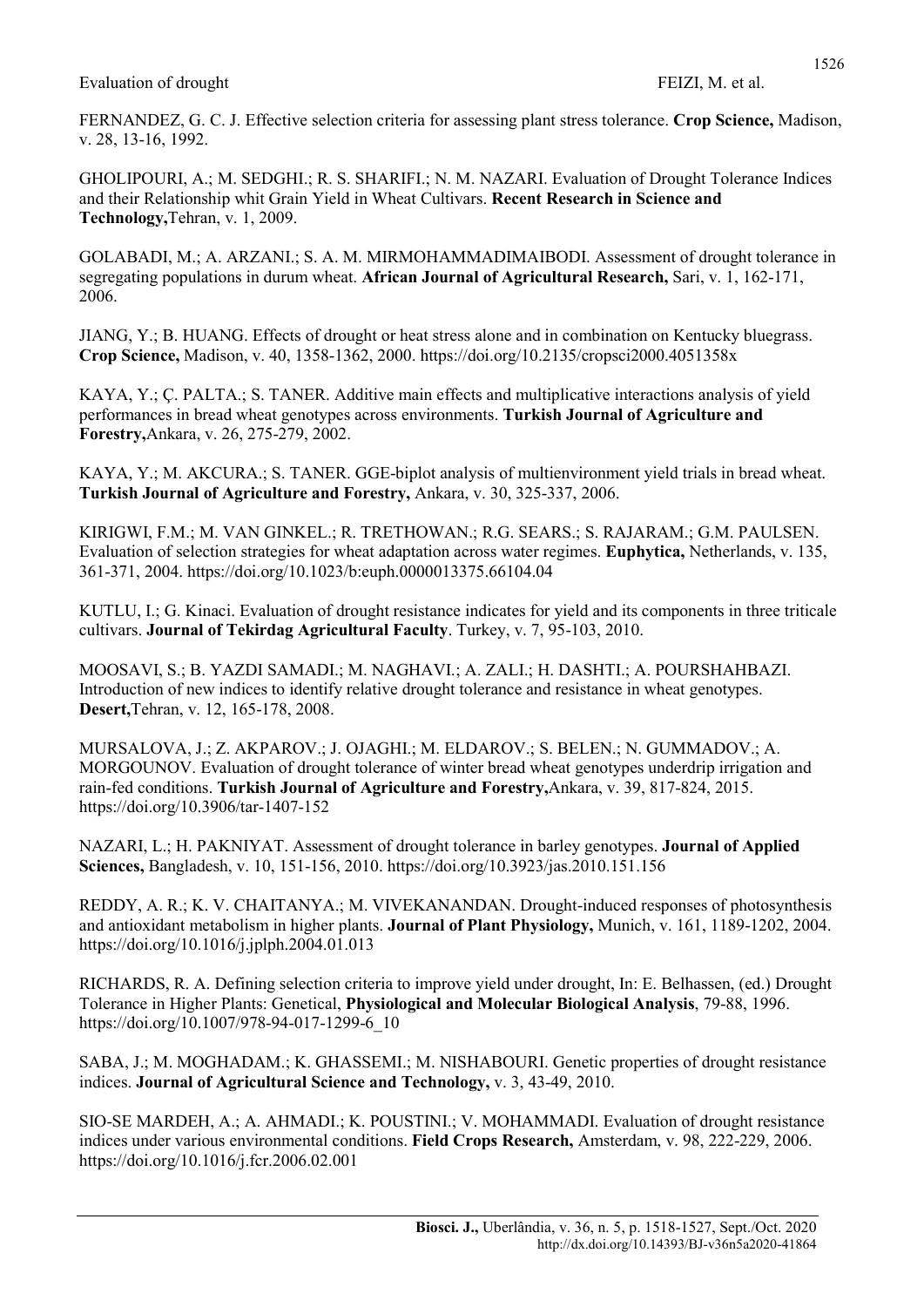### Evaluation of drought FEIZI, M. et al.

FERNANDEZ, G. C. J. Effective selection criteria for assessing plant stress tolerance. Crop Science, Madison, v. 28, 13-16, 1992.

GHOLIPOURI, A.; M. SEDGHI.; R. S. SHARIFI.; N. M. NAZARI. Evaluation of Drought Tolerance Indices and their Relationship whit Grain Yield in Wheat Cultivars. Recent Research in Science and Technology,Tehran, v. 1, 2009.

GOLABADI, M.; A. ARZANI.; S. A. M. MIRMOHAMMADIMAIBODI. Assessment of drought tolerance in segregating populations in durum wheat. African Journal of Agricultural Research, Sari, v. 1, 162-171, 2006.

JIANG, Y.; B. HUANG. Effects of drought or heat stress alone and in combination on Kentucky bluegrass. Crop Science, Madison, v. 40, 1358-1362, 2000. https://doi.org/10.2135/cropsci2000.4051358x

KAYA, Y.; Ç. PALTA.; S. TANER. Additive main effects and multiplicative interactions analysis of yield performances in bread wheat genotypes across environments. Turkish Journal of Agriculture and Forestry,Ankara, v. 26, 275-279, 2002.

KAYA, Y.; M. AKCURA.; S. TANER. GGE-biplot analysis of multienvironment yield trials in bread wheat. Turkish Journal of Agriculture and Forestry, Ankara, v. 30, 325-337, 2006.

KIRIGWI, F.M.; M. VAN GINKEL.; R. TRETHOWAN.; R.G. SEARS.; S. RAJARAM.; G.M. PAULSEN. Evaluation of selection strategies for wheat adaptation across water regimes. Euphytica, Netherlands, v. 135, 361-371, 2004. https://doi.org/10.1023/b:euph.0000013375.66104.04

KUTLU, I.; G. Kinaci. Evaluation of drought resistance indicates for yield and its components in three triticale cultivars. Journal of Tekirdag Agricultural Faculty. Turkey, v. 7, 95-103, 2010.

MOOSAVI, S.; B. YAZDI SAMADI.; M. NAGHAVI.; A. ZALI.; H. DASHTI.; A. POURSHAHBAZI. Introduction of new indices to identify relative drought tolerance and resistance in wheat genotypes. Desert,Tehran, v. 12, 165-178, 2008.

MURSALOVA, J.; Z. AKPAROV.; J. OJAGHI.; M. ELDAROV.; S. BELEN.; N. GUMMADOV.; A. MORGOUNOV. Evaluation of drought tolerance of winter bread wheat genotypes underdrip irrigation and rain-fed conditions. Turkish Journal of Agriculture and Forestry,Ankara, v. 39, 817-824, 2015. https://doi.org/10.3906/tar-1407-152

NAZARI, L.; H. PAKNIYAT. Assessment of drought tolerance in barley genotypes. Journal of Applied Sciences, Bangladesh, v. 10, 151-156, 2010. https://doi.org/10.3923/jas.2010.151.156

REDDY, A. R.; K. V. CHAITANYA.; M. VIVEKANANDAN. Drought-induced responses of photosynthesis and antioxidant metabolism in higher plants. Journal of Plant Physiology, Munich, v. 161, 1189-1202, 2004. https://doi.org/10.1016/j.jplph.2004.01.013

RICHARDS, R. A. Defining selection criteria to improve yield under drought, In: E. Belhassen, (ed.) Drought Tolerance in Higher Plants: Genetical, Physiological and Molecular Biological Analysis, 79-88, 1996. https://doi.org/10.1007/978-94-017-1299-6\_10

SABA, J.; M. MOGHADAM.; K. GHASSEMI.; M. NISHABOURI. Genetic properties of drought resistance indices. Journal of Agricultural Science and Technology, v. 3, 43-49, 2010.

SIO-SE MARDEH, A.; A. AHMADI.; K. POUSTINI.; V. MOHAMMADI. Evaluation of drought resistance indices under various environmental conditions. Field Crops Research, Amsterdam, v. 98, 222-229, 2006. https://doi.org/10.1016/j.fcr.2006.02.001